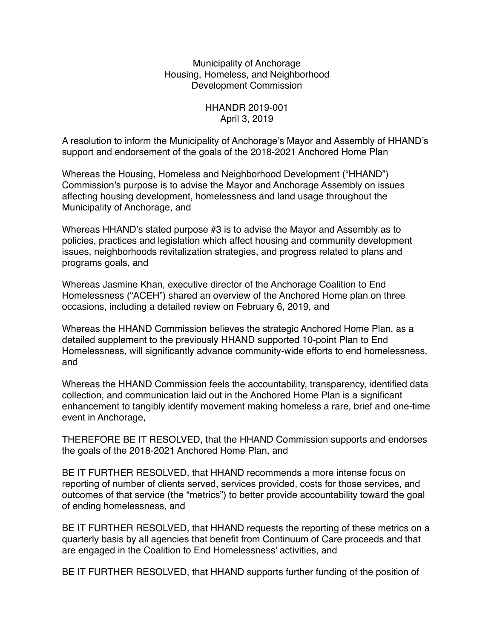Municipality of Anchorage Housing, Homeless, and Neighborhood Development Commission

> HHANDR 2019-001 April 3, 2019

A resolution to inform the Municipality of Anchorage's Mayor and Assembly of HHAND's support and endorsement of the goals of the 2018-2021 Anchored Home Plan

Whereas the Housing, Homeless and Neighborhood Development ("HHAND") Commission's purpose is to advise the Mayor and Anchorage Assembly on issues affecting housing development, homelessness and land usage throughout the Municipality of Anchorage, and

Whereas HHAND's stated purpose #3 is to advise the Mayor and Assembly as to policies, practices and legislation which affect housing and community development issues, neighborhoods revitalization strategies, and progress related to plans and programs goals, and

Whereas Jasmine Khan, executive director of the Anchorage Coalition to End Homelessness ("ACEH") shared an overview of the Anchored Home plan on three occasions, including a detailed review on February 6, 2019, and

Whereas the HHAND Commission believes the strategic Anchored Home Plan, as a detailed supplement to the previously HHAND supported 10-point Plan to End Homelessness, will significantly advance community-wide efforts to end homelessness, and

Whereas the HHAND Commission feels the accountability, transparency, identified data collection, and communication laid out in the Anchored Home Plan is a significant enhancement to tangibly identify movement making homeless a rare, brief and one-time event in Anchorage,

THEREFORE BE IT RESOLVED, that the HHAND Commission supports and endorses the goals of the 2018-2021 Anchored Home Plan, and

BE IT FURTHER RESOLVED, that HHAND recommends a more intense focus on reporting of number of clients served, services provided, costs for those services, and outcomes of that service (the "metrics") to better provide accountability toward the goal of ending homelessness, and

BE IT FURTHER RESOLVED, that HHAND requests the reporting of these metrics on a quarterly basis by all agencies that benefit from Continuum of Care proceeds and that are engaged in the Coalition to End Homelessness' activities, and

BE IT FURTHER RESOLVED, that HHAND supports further funding of the position of